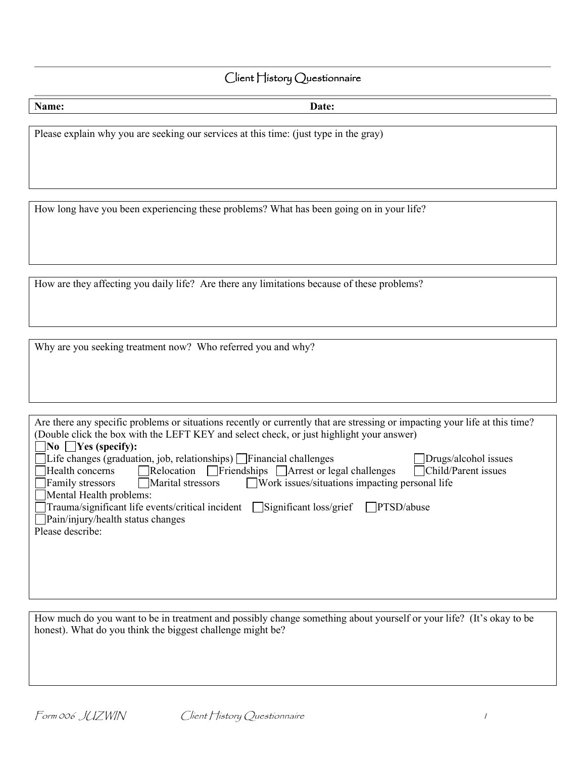# Client History Questionnaire

| Name: | Date: |
|-------|-------|
|       |       |

Please explain why you are seeking our services at this time: (just type in the gray)

How long have you been experiencing these problems? What has been going on in your life?

How are they affecting you daily life? Are there any limitations because of these problems?

Why are you seeking treatment now? Who referred you and why?

| Are there any specific problems or situations recently or currently that are stressing or impacting your life at this time? |  |  |  |  |  |
|-----------------------------------------------------------------------------------------------------------------------------|--|--|--|--|--|
| (Double click the box with the LEFT KEY and select check, or just highlight your answer)                                    |  |  |  |  |  |
| $\Box$ No $\Box$ Yes (specify):                                                                                             |  |  |  |  |  |
| $\Box$ Life changes (graduation, job, relationships) $\Box$ Financial challenges<br>Drugs/alcohol issues                    |  |  |  |  |  |
| Relocation Friendships Arrest or legal challenges<br>Child/Parent issues<br>Health concerns                                 |  |  |  |  |  |
| $\Box$ Work issues/situations impacting personal life<br>Marital stressors<br>Family stressors                              |  |  |  |  |  |
| Mental Health problems:                                                                                                     |  |  |  |  |  |
| $\Box$ Trauma/significant life events/critical incident $\Box$ Significant loss/grief<br>PTSD/above                         |  |  |  |  |  |
| $\Box$ Pain/injury/health status changes                                                                                    |  |  |  |  |  |
| Please describe:                                                                                                            |  |  |  |  |  |
|                                                                                                                             |  |  |  |  |  |
|                                                                                                                             |  |  |  |  |  |
|                                                                                                                             |  |  |  |  |  |
|                                                                                                                             |  |  |  |  |  |
|                                                                                                                             |  |  |  |  |  |

How much do you want to be in treatment and possibly change something about yourself or your life? (It's okay to be honest). What do you think the biggest challenge might be?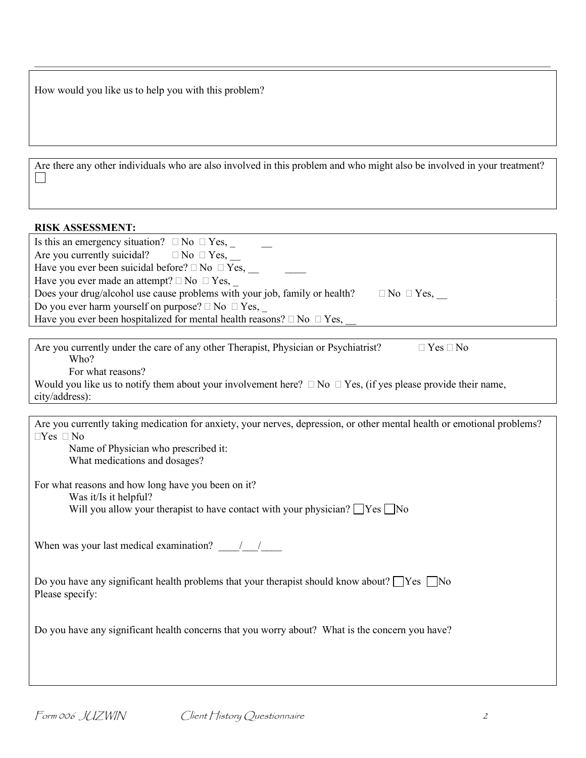| How would you like us to help you with this problem? |  |  |
|------------------------------------------------------|--|--|
|------------------------------------------------------|--|--|

|  |  | Are there any other individuals who are also involved in this problem and who might also be involved in your treatment? |  |
|--|--|-------------------------------------------------------------------------------------------------------------------------|--|
|  |  |                                                                                                                         |  |

|  | <b>RISK ASSESSMENT:</b> |
|--|-------------------------|
|--|-------------------------|

| Is this an emergency situation? $\Box$ No $\Box$ Yes,<br>Are you currently suicidal? $\square$ No $\square$ Yes,<br>Have you ever been suicidal before? $\Box$ No $\Box$ Yes,<br>Have you ever made an attempt? $\Box$ No $\Box$ Yes,<br>Does your drug/alcohol use cause problems with your job, family or health?<br>$\Box$ No $\Box$ Yes,<br>Do you ever harm yourself on purpose? $\square$ No $\square$ Yes,<br>Have you ever been hospitalized for mental health reasons? $\Box$ No $\Box$ Yes, |
|-------------------------------------------------------------------------------------------------------------------------------------------------------------------------------------------------------------------------------------------------------------------------------------------------------------------------------------------------------------------------------------------------------------------------------------------------------------------------------------------------------|
|                                                                                                                                                                                                                                                                                                                                                                                                                                                                                                       |
| Are you currently under the care of any other Therapist, Physician or Psychiatrist?<br>$\Box$ Yes $\Box$ No<br>Who?<br>For what reasons?<br>Would you like us to notify them about your involvement here? $\Box$ No $\Box$ Yes, (if yes please provide their name,<br>city/address):                                                                                                                                                                                                                  |
|                                                                                                                                                                                                                                                                                                                                                                                                                                                                                                       |
| Are you currently taking medication for anxiety, your nerves, depression, or other mental health or emotional problems?<br>$\Box$ Yes $\Box$ No<br>Name of Physician who prescribed it:<br>What medications and dosages?                                                                                                                                                                                                                                                                              |
| For what reasons and how long have you been on it?<br>Was it/Is it helpful?<br>Will you allow your therapist to have contact with your physician? $\Box$ Yes $\Box$ No                                                                                                                                                                                                                                                                                                                                |
| When was your last medical examination? $\frac{1}{\sqrt{1-\frac{1}{\sqrt{1-\frac{1}{\sqrt{1-\frac{1}{\sqrt{1-\frac{1}{\sqrt{1-\frac{1}{\sqrt{1-\frac{1}{\sqrt{1-\frac{1}{\sqrt{1-\frac{1}{\sqrt{1-\frac{1}{\sqrt{1-\frac{1}{\sqrt{1-\frac{1}{\sqrt{1-\frac{1}{\sqrt{1-\frac{1}{\sqrt{1-\frac{1}{\sqrt{1-\frac{1}{\sqrt{1-\frac{1}{\sqrt{1-\frac{1}{\sqrt{1-\frac{1}{\sqrt{1-\frac{1}{\sqrt{1$                                                                                                         |
| Do you have any significant health problems that your therapist should know about? $\Box$ Yes $\Box$ No<br>Please specify:                                                                                                                                                                                                                                                                                                                                                                            |
| Do you have any significant health concerns that you worry about? What is the concern you have?                                                                                                                                                                                                                                                                                                                                                                                                       |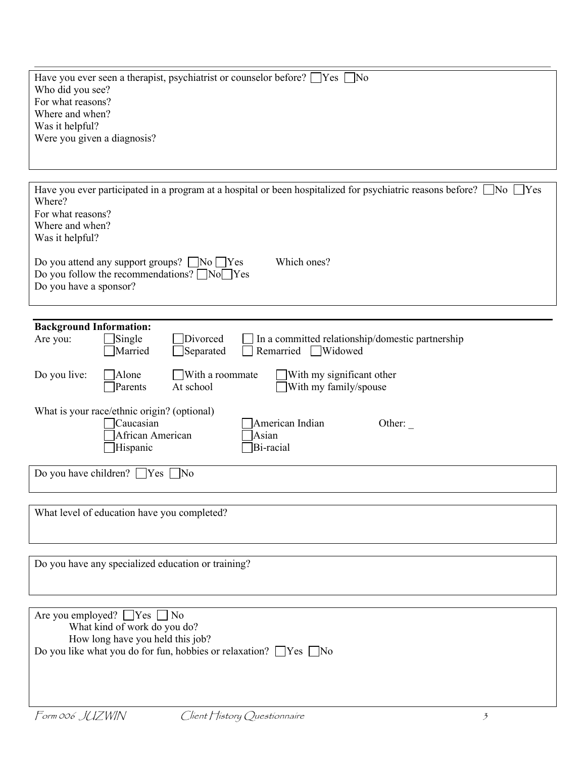| Have you ever seen a therapist, psychiatrist or counselor before? $\Box$ Yes $\Box$ No<br>Who did you see?<br>For what reasons?<br>Where and when?<br>Was it helpful?<br>Were you given a diagnosis? |  |  |  |
|------------------------------------------------------------------------------------------------------------------------------------------------------------------------------------------------------|--|--|--|
| Have you ever participated in a program at a hospital or been hospitalized for psychiatric reasons before? $\Box$ No $\Box$ Yes<br>Where?<br>For what reasons?<br>Where and when?<br>Was it helpful? |  |  |  |
| Which ones?<br>Do you attend any support groups? $\Box$ No $\Box$ Yes<br>Do you follow the recommendations? $\Box$ No $\Box$ Yes<br>Do you have a sponsor?                                           |  |  |  |
|                                                                                                                                                                                                      |  |  |  |
| <b>Background Information:</b><br>Single<br>Divorced<br>In a committed relationship/domestic partnership<br>Are you:<br>Widowed<br>Married<br>Separated<br>Remarried                                 |  |  |  |
| With my significant other<br>Do you live:<br>With a roommate<br>Alone<br>At school<br>With my family/spouse<br>Parents                                                                               |  |  |  |
| What is your race/ethnic origin? (optional)<br>Caucasian<br>American Indian<br>Other:<br>African American<br>Asian<br>Hispanic<br>Bi-racial                                                          |  |  |  |
| Do you have children? $\Box$ Yes<br>$\overline{\rm No}$                                                                                                                                              |  |  |  |
| What level of education have you completed?                                                                                                                                                          |  |  |  |
| Do you have any specialized education or training?                                                                                                                                                   |  |  |  |
|                                                                                                                                                                                                      |  |  |  |
| Are you employed? $\Box$ Yes<br>$\overline{N}$<br>What kind of work do you do?<br>How long have you held this job?                                                                                   |  |  |  |
| Do you like what you do for fun, hobbies or relaxation? $\Box$ Yes $\Box$ No                                                                                                                         |  |  |  |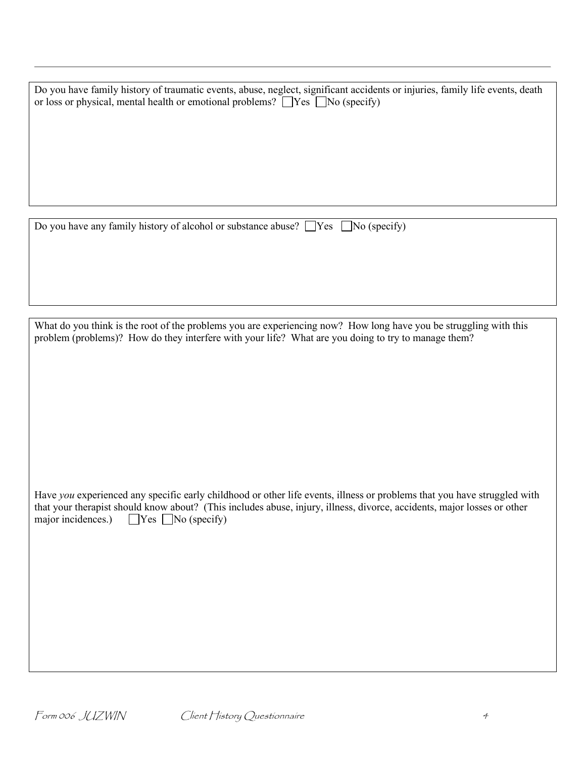| Do you have family history of traumatic events, abuse, neglect, significant accidents or injuries, family life events, death<br>or loss or physical, mental health or emotional problems? $\Box$ Yes $\Box$ No (specify) |
|--------------------------------------------------------------------------------------------------------------------------------------------------------------------------------------------------------------------------|
| Do you have any family history of alcohol or substance abuse? $\Box$ Yes $\Box$ No (specify)                                                                                                                             |

What do you think is the root of the problems you are experiencing now? How long have you be struggling with this problem (problems)? How do they interfere with your life? What are you doing to try to manage them?

Have *you* experienced any specific early childhood or other life events, illness or problems that you have struggled with that your therapist should know about? (This includes abuse, injury, illness, divorce, accidents, major losses or other major incidences.)  $\Box$  Yes  $\Box$  No (specify)  $\Box$  Yes  $\Box$  No (specify)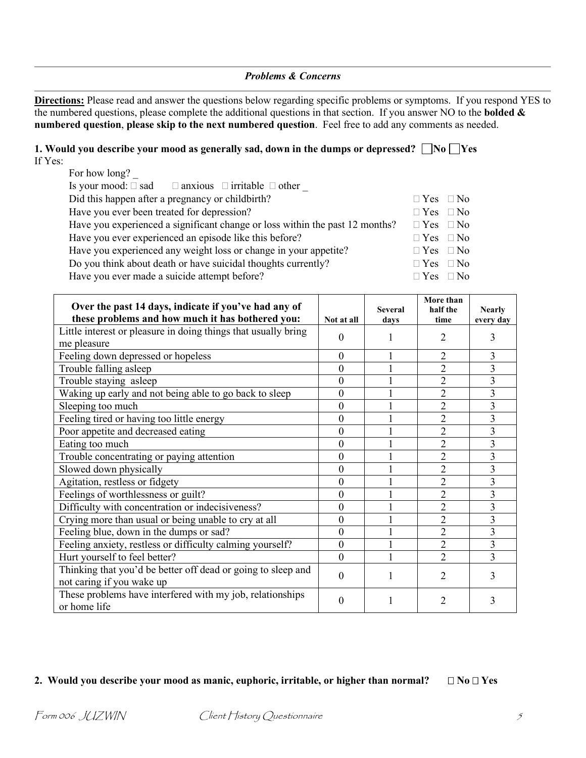### *Problems & Concerns*

**Directions:** Please read and answer the questions below regarding specific problems or symptoms. If you respond YES to the numbered questions, please complete the additional questions in that section. If you answer NO to the **bolded & numbered question**, **please skip to the next numbered question**. Feel free to add any comments as needed.

| 1. Would you describe your mood as generally sad, down in the dumps or depressed? $\Box$ No $\Box$ Yes |  |
|--------------------------------------------------------------------------------------------------------|--|
| If Yes:                                                                                                |  |
| For how long?                                                                                          |  |

| Is your mood: $\square$ sad $\square$ anxious $\square$ irritable $\square$ other |                      |  |
|-----------------------------------------------------------------------------------|----------------------|--|
| Did this happen after a pregnancy or childbirth?                                  | $\Box$ Yes $\Box$ No |  |
| Have you ever been treated for depression?                                        | $\Box$ Yes $\Box$ No |  |
| Have you experienced a significant change or loss within the past 12 months?      | $\Box$ Yes $\Box$ No |  |
| Have you ever experienced an episode like this before?                            | $\Box$ Yes $\Box$ No |  |
| Have you experienced any weight loss or change in your appetite?                  | $\Box$ Yes $\Box$ No |  |
| Do you think about death or have suicidal thoughts currently?                     | $\Box$ Yes $\Box$ No |  |
| Have you ever made a suicide attempt before?                                      | $\Box$ Yes $\Box$ No |  |
|                                                                                   |                      |  |

| Over the past 14 days, indicate if you've had any of                      |                  | <b>Several</b> | More than<br>half the | <b>Nearly</b> |
|---------------------------------------------------------------------------|------------------|----------------|-----------------------|---------------|
| these problems and how much it has bothered you:                          | Not at all       | days           | time                  | every day     |
| Little interest or pleasure in doing things that usually bring            | $\theta$         |                | 2                     | 3             |
| me pleasure                                                               |                  |                |                       |               |
| Feeling down depressed or hopeless                                        | $\mathbf{0}$     |                | $\overline{2}$        | 3             |
| Trouble falling asleep                                                    | $\boldsymbol{0}$ |                | $\overline{2}$        | 3             |
| Trouble staying asleep                                                    | $\mathbf{0}$     |                | $\overline{2}$        | 3             |
| Waking up early and not being able to go back to sleep                    | $\boldsymbol{0}$ |                | $\overline{2}$        | 3             |
| Sleeping too much                                                         | $\mathbf{0}$     |                | $\overline{2}$        | 3             |
| Feeling tired or having too little energy                                 | $\boldsymbol{0}$ |                | $\overline{2}$        | 3             |
| Poor appetite and decreased eating                                        | $\boldsymbol{0}$ |                | $\overline{2}$        | 3             |
| Eating too much                                                           | $\mathbf{0}$     |                | $\overline{2}$        | 3             |
| Trouble concentrating or paying attention                                 | $\mathbf{0}$     |                | $\overline{2}$        | 3             |
| Slowed down physically                                                    | $\overline{0}$   |                | $\overline{2}$        | 3             |
| Agitation, restless or fidgety                                            | $\mathbf{0}$     |                | $\overline{2}$        | 3             |
| Feelings of worthlessness or guilt?                                       | $\boldsymbol{0}$ |                | $\overline{2}$        | 3             |
| Difficulty with concentration or indecisiveness?                          | $\overline{0}$   |                | $\overline{2}$        | 3             |
| Crying more than usual or being unable to cry at all                      | $\mathbf{0}$     |                | $\overline{2}$        | 3             |
| Feeling blue, down in the dumps or sad?                                   | $\overline{0}$   |                | $\overline{2}$        | 3             |
| Feeling anxiety, restless or difficulty calming yourself?                 | $\mathbf{0}$     |                | $\overline{2}$        | 3             |
| Hurt yourself to feel better?                                             | $\theta$         |                | $\overline{2}$        | 3             |
| Thinking that you'd be better off dead or going to sleep and              | $\theta$         |                | 2                     | 3             |
| not caring if you wake up                                                 |                  |                |                       |               |
| These problems have interfered with my job, relationships<br>or home life | $\theta$         |                | 2                     | 3             |

### **2.** Would you describe your mood as manic, euphoric, irritable, or higher than normal?  $\Box$  No $\Box$  Yes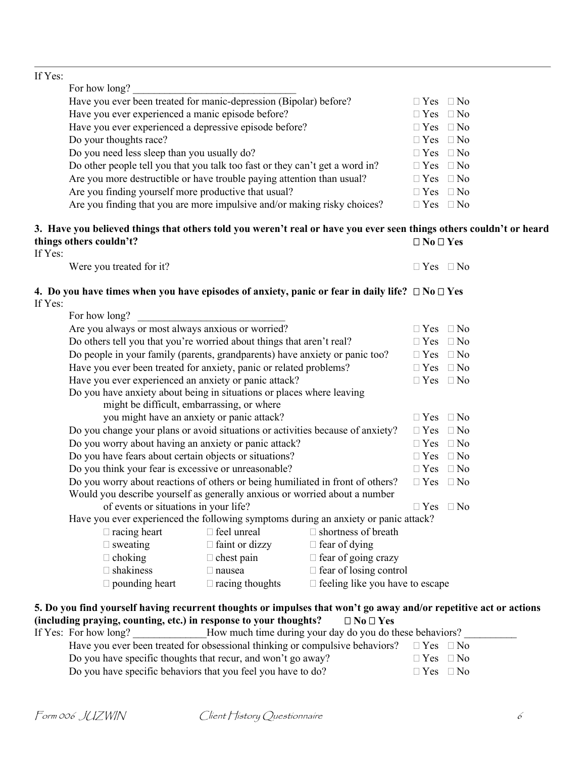## If Yes:

| For how long?                                                                |                      |
|------------------------------------------------------------------------------|----------------------|
| Have you ever been treated for manic-depression (Bipolar) before?            | $\Box$ Yes $\Box$ No |
| Have you ever experienced a manic episode before?                            | $\Box$ Yes $\Box$ No |
| Have you ever experienced a depressive episode before?                       | $\Box$ Yes $\Box$ No |
| Do your thoughts race?                                                       | $\Box$ Yes $\Box$ No |
| Do you need less sleep than you usually do?                                  | $\Box$ Yes $\Box$ No |
| Do other people tell you that you talk too fast or they can't get a word in? | $\Box$ Yes $\Box$ No |
| Are you more destructible or have trouble paying attention than usual?       | $\Box$ Yes $\Box$ No |
| Are you finding yourself more productive that usual?                         | $\Box$ Yes $\Box$ No |
| Are you finding that you are more impulsive and/or making risky choices?     | $\Box$ Yes $\Box$ No |

#### **3. Have you believed things that others told you weren't real or have you ever seen things others couldn't or heard things others couldn't?**  $\Box$  No $\Box$  Yes If Yes:

| Were you treated for it? | $\Box$ Yes $\Box$ No |  |
|--------------------------|----------------------|--|
|                          |                      |  |

# **4.** Do you have times when you have episodes of anxiety, panic or fear in daily life?  $\Box$  No $\Box$  Yes If Yes:

| For how long?                                                                                                     |                       |                                        |                      |  |
|-------------------------------------------------------------------------------------------------------------------|-----------------------|----------------------------------------|----------------------|--|
| Are you always or most always anxious or worried?                                                                 |                       |                                        | $\Box$ Yes $\Box$ No |  |
| Do others tell you that you're worried about things that aren't real?                                             |                       |                                        | $\Box$ Yes $\Box$ No |  |
| Do people in your family (parents, grandparents) have anxiety or panic too?                                       |                       |                                        | $\Box$ Yes $\Box$ No |  |
| Have you ever been treated for anxiety, panic or related problems?                                                |                       |                                        | $\Box$ Yes $\Box$ No |  |
| Have you ever experienced an anxiety or panic attack?                                                             |                       |                                        | $\Box$ Yes $\Box$ No |  |
| Do you have anxiety about being in situations or places where leaving                                             |                       |                                        |                      |  |
| might be difficult, embarrassing, or where                                                                        |                       |                                        |                      |  |
| you might have an anxiety or panic attack?                                                                        |                       |                                        | $\Box$ Yes $\Box$ No |  |
| Do you change your plans or avoid situations or activities because of anxiety?                                    |                       |                                        | $\Box$ Yes $\Box$ No |  |
| Do you worry about having an anxiety or panic attack?                                                             |                       |                                        | $\Box$ Yes $\Box$ No |  |
| Do you have fears about certain objects or situations?                                                            |                       |                                        | $\Box$ Yes $\Box$ No |  |
| Do you think your fear is excessive or unreasonable?                                                              |                       |                                        | $\Box$ Yes $\Box$ No |  |
| Do you worry about reactions of others or being humiliated in front of others?                                    |                       |                                        | $\Box$ Yes $\Box$ No |  |
| Would you describe yourself as generally anxious or worried about a number                                        |                       |                                        |                      |  |
| of events or situations in your life?                                                                             |                       |                                        | $\Box$ Yes $\Box$ No |  |
| Have you ever experienced the following symptoms during an anxiety or panic attack?                               |                       |                                        |                      |  |
| $\Box$ racing heart                                                                                               | $\Box$ feel unreal    | $\Box$ shortness of breath             |                      |  |
| $\Box$ sweating                                                                                                   | $\Box$ faint or dizzy | $\Box$ fear of dying                   |                      |  |
| $\Box$ choking                                                                                                    | $\Box$ chest pain     | $\Box$ fear of going crazy             |                      |  |
| $\Box$ shakiness                                                                                                  | $\Box$ nausea         | $\Box$ fear of losing control          |                      |  |
| $\Box$ pounding heart $\Box$ racing thoughts                                                                      |                       | $\Box$ feeling like you have to escape |                      |  |
|                                                                                                                   |                       |                                        |                      |  |
| 5. Do you find yourself having recurrent thoughts or impulses that won't go away and/or repetitive act or actions |                       |                                        |                      |  |
| (including praying, counting, etc.) in response to your thoughts?                                                 |                       | $\Box$ No $\Box$ Yes                   |                      |  |
| If Yes: For how long? ______________How much time during your day do you do these behaviors?                      |                       |                                        |                      |  |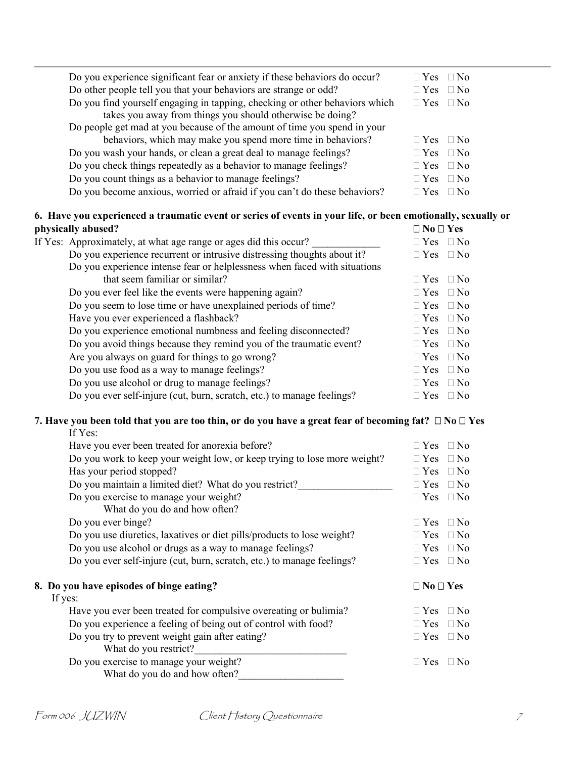| Do you experience significant fear or anxiety if these behaviors do occur?  | $\Box$ Yes $\Box$ No |
|-----------------------------------------------------------------------------|----------------------|
| Do other people tell you that your behaviors are strange or odd?            | $\Box$ Yes $\Box$ No |
| Do you find yourself engaging in tapping, checking or other behaviors which | $\Box$ Yes $\Box$ No |
| takes you away from things you should otherwise be doing?                   |                      |
| Do people get mad at you because of the amount of time you spend in your    |                      |
| behaviors, which may make you spend more time in behaviors?                 | $\Box$ Yes $\Box$ No |
| Do you wash your hands, or clean a great deal to manage feelings?           | $\Box$ Yes $\Box$ No |
| Do you check things repeatedly as a behavior to manage feelings?            | $\Box$ Yes $\Box$ No |
| Do you count things as a behavior to manage feelings?                       | $\Box$ Yes $\Box$ No |
| Do you become anxious, worried or afraid if you can't do these behaviors?   | $\Box$ Yes $\Box$ No |

# **6. Have you experienced a traumatic event or series of events in your life, or been emotionally, sexually or <br>physically abused?**  $\Box$  No  $\Box$  Yes **physically abused?**

| рнуэкану авизси.                                                          | <b>LIVLIUS</b>       |           |
|---------------------------------------------------------------------------|----------------------|-----------|
| If Yes: Approximately, at what age range or ages did this occur?          | $\Box$ Yes $\Box$ No |           |
| Do you experience recurrent or intrusive distressing thoughts about it?   | $\Box$ Yes           | $\Box$ No |
| Do you experience intense fear or helplessness when faced with situations |                      |           |
| that seem familiar or similar?                                            | $\Box$ Yes           | $\Box$ No |
| Do you ever feel like the events were happening again?                    | $\Box$ Yes $\Box$ No |           |
| Do you seem to lose time or have unexplained periods of time?             | $\Box$ Yes $\Box$ No |           |
| Have you ever experienced a flashback?                                    | $\Box$ Yes $\Box$ No |           |
| Do you experience emotional numbness and feeling disconnected?            | $\Box$ Yes $\Box$ No |           |
| Do you avoid things because they remind you of the traumatic event?       | $\Box$ Yes $\Box$ No |           |
| Are you always on guard for things to go wrong?                           | $\Box$ Yes $\Box$ No |           |
| Do you use food as a way to manage feelings?                              | $\Box$ Yes $\Box$ No |           |
| Do you use alcohol or drug to manage feelings?                            | $\Box$ Yes $\Box$ No |           |
| Do you ever self-injure (cut, burn, scratch, etc.) to manage feelings?    | $\Box$ Yes $\Box$ No |           |
|                                                                           |                      |           |

#### **7. Have you been told that you are too thin, or do you have a great fear of becoming fat? No Yes** If Yes:

| Have you ever been treated for anorexia before?                          | $\Box$ No<br>$\Box$ Yes |
|--------------------------------------------------------------------------|-------------------------|
| Do you work to keep your weight low, or keep trying to lose more weight? | $\Box$ Yes $\Box$ No    |
| Has your period stopped?                                                 | $\Box$ Yes $\Box$ No    |
| Do you maintain a limited diet? What do you restrict?                    | $\Box$ Yes $\Box$ No    |
| Do you exercise to manage your weight?                                   | $\Box$ Yes $\Box$ No    |
| What do you do and how often?                                            |                         |
| Do you ever binge?                                                       | $\Box$ No<br>$\Box$ Yes |
| Do you use diuretics, laxatives or diet pills/products to lose weight?   | $\Box$ Yes $\Box$ No    |
| Do you use alcohol or drugs as a way to manage feelings?                 | $\Box$ Yes $\Box$ No    |
| Do you ever self-injure (cut, burn, scratch, etc.) to manage feelings?   | $\Box$ Yes $\Box$ No    |
| 8. Do you have episodes of binge eating?                                 | $\Box$ No $\Box$ Yes    |
| If yes:                                                                  |                         |
| Have you ever been treated for compulsive overeating or bulimia?         | $\Box$ No<br>$\Box$ Yes |
| Do you experience a feeling of being out of control with food?           | $\Box$ No<br>$\Box$ Yes |
| Do you try to prevent weight gain after eating?                          | $\Box$ Yes $\Box$ No    |
| What do you restrict?                                                    |                         |
| Do you exercise to manage your weight?                                   | $\Box$ Yes $\Box$ No    |
| What do you do and how often?                                            |                         |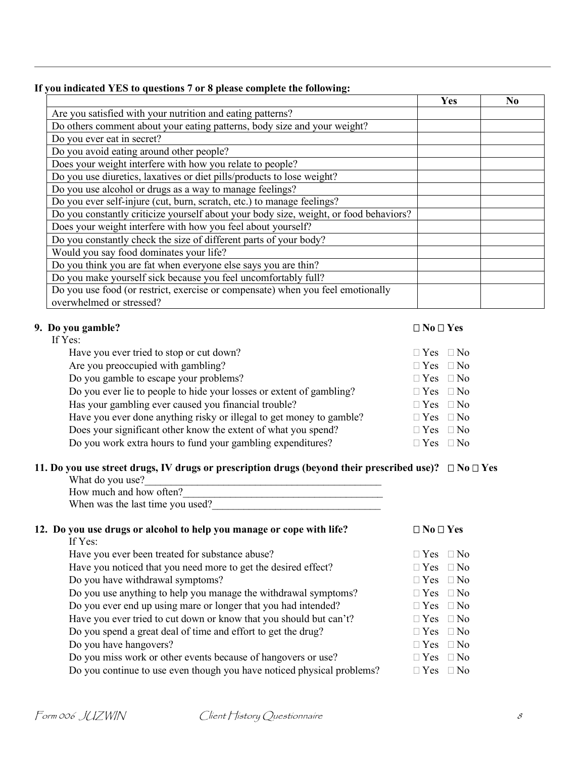### **If you indicated YES to questions 7 or 8 please complete the following:**

|                                                                                       | Yes | No |
|---------------------------------------------------------------------------------------|-----|----|
| Are you satisfied with your nutrition and eating patterns?                            |     |    |
| Do others comment about your eating patterns, body size and your weight?              |     |    |
| Do you ever eat in secret?                                                            |     |    |
| Do you avoid eating around other people?                                              |     |    |
| Does your weight interfere with how you relate to people?                             |     |    |
| Do you use diuretics, laxatives or diet pills/products to lose weight?                |     |    |
| Do you use alcohol or drugs as a way to manage feelings?                              |     |    |
| Do you ever self-injure (cut, burn, scratch, etc.) to manage feelings?                |     |    |
| Do you constantly criticize yourself about your body size, weight, or food behaviors? |     |    |
| Does your weight interfere with how you feel about yourself?                          |     |    |
| Do you constantly check the size of different parts of your body?                     |     |    |
| Would you say food dominates your life?                                               |     |    |
| Do you think you are fat when everyone else says you are thin?                        |     |    |
| Do you make yourself sick because you feel uncomfortably full?                        |     |    |
| Do you use food (or restrict, exercise or compensate) when you feel emotionally       |     |    |
| overwhelmed or stressed?                                                              |     |    |

# **9.** Do you gamble?  $\Box$  No $\Box$  Yes

| If Yes:                                                              |                      |           |
|----------------------------------------------------------------------|----------------------|-----------|
| Have you ever tried to stop or cut down?                             | $\Box$ Yes $\Box$ No |           |
| Are you preoccupied with gambling?                                   | $\Box$ Yes           | $\Box$ No |
| Do you gamble to escape your problems?                               | $\Box$ Yes $\Box$ No |           |
| Do you ever lie to people to hide your losses or extent of gambling? | $\Box$ Yes $\Box$ No |           |
| Has your gambling ever caused you financial trouble?                 | $\Box$ Yes $\Box$ No |           |
| Have you ever done anything risky or illegal to get money to gamble? | $\Box$ Yes $\Box$ No |           |
| Does your significant other know the extent of what you spend?       | $\Box$ Yes $\Box$ No |           |
| Do you work extra hours to fund your gambling expenditures?          | $\Box$ Yes $\Box$ No |           |

## **11. Do you use street drugs, IV drugs or prescription drugs (beyond their prescribed use)?**  $\Box$  No $\Box$  Yes

| What do you use?                 |  |
|----------------------------------|--|
| How much and how often?          |  |
| When was the last time you used? |  |

# **12.** Do you use drugs or alcohol to help you manage or cope with life?  $\Box$  No $\Box$  Yes

| If Yes:                                                                |                      |  |
|------------------------------------------------------------------------|----------------------|--|
| Have you ever been treated for substance abuse?                        | $\Box$ Yes $\Box$ No |  |
| Have you noticed that you need more to get the desired effect?         | $\Box$ Yes $\Box$ No |  |
| Do you have withdrawal symptoms?                                       | $\Box$ Yes $\Box$ No |  |
| Do you use anything to help you manage the withdrawal symptoms?        | $\Box$ Yes $\Box$ No |  |
| Do you ever end up using mare or longer that you had intended?         | $\Box$ Yes $\Box$ No |  |
| Have you ever tried to cut down or know that you should but can't?     | $\Box$ Yes $\Box$ No |  |
| Do you spend a great deal of time and effort to get the drug?          | $\Box$ Yes $\Box$ No |  |
| Do you have hangovers?                                                 | $\Box$ Yes $\Box$ No |  |
| Do you miss work or other events because of hangovers or use?          | $\Box$ Yes $\Box$ No |  |
| Do you continue to use even though you have noticed physical problems? | $\Box$ Yes $\Box$ No |  |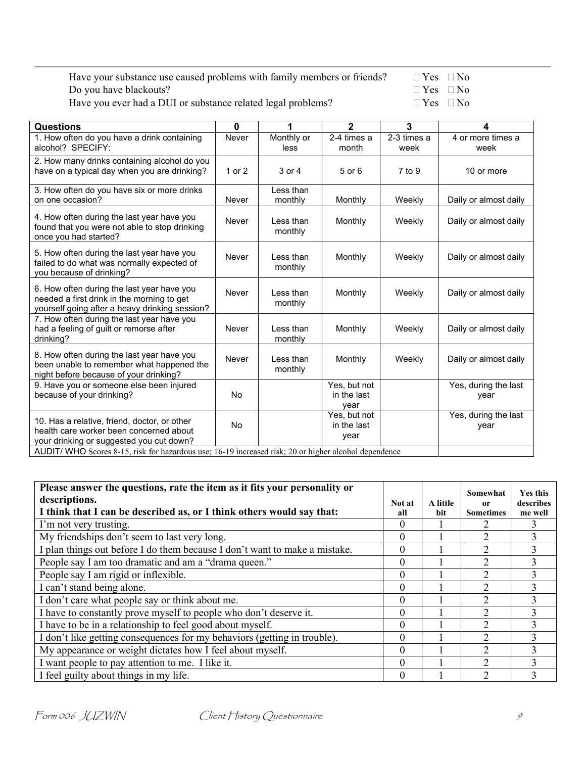| Have your substance use caused problems with family members or friends? | $\Box$ Yes $\Box$ No |  |
|-------------------------------------------------------------------------|----------------------|--|
| Do you have blackouts?                                                  | $\Box$ Yes $\Box$ No |  |
| Have you ever had a DUI or substance related legal problems?            | $\Box$ Yes $\Box$ No |  |

Have you ever had a DUI or substance related legal problems?

| <b>Questions</b>                                                                                                                           | 0      | 1                    | $\mathbf{2}$                        | 3                   | 4                            |
|--------------------------------------------------------------------------------------------------------------------------------------------|--------|----------------------|-------------------------------------|---------------------|------------------------------|
| 1. How often do you have a drink containing<br>alcohol? SPECIFY:                                                                           | Never  | Monthly or<br>less   | 2-4 times a<br>month                | 2-3 times a<br>week | 4 or more times a<br>week    |
| 2. How many drinks containing alcohol do you<br>have on a typical day when you are drinking?                                               | 1 or 2 | 3 or 4               | 5 or 6                              | $7$ to $9$          | 10 or more                   |
| 3. How often do you have six or more drinks<br>on one occasion?                                                                            | Never  | Less than<br>monthly | Monthly                             | Weekly              | Daily or almost daily        |
| 4. How often during the last year have you<br>found that you were not able to stop drinking<br>once you had started?                       | Never  | Less than<br>monthly | Monthly                             | Weekly              | Daily or almost daily        |
| 5. How often during the last year have you<br>failed to do what was normally expected of<br>you because of drinking?                       | Never  | Less than<br>monthly | Monthly                             | Weekly              | Daily or almost daily        |
| 6. How often during the last year have you<br>needed a first drink in the morning to get<br>yourself going after a heavy drinking session? | Never  | Less than<br>monthly | Monthly                             | Weekly              | Daily or almost daily        |
| 7. How often during the last year have you<br>had a feeling of guilt or remorse after<br>drinking?                                         | Never  | Less than<br>monthly | Monthly                             | Weekly              | Daily or almost daily        |
| 8. How often during the last year have you<br>been unable to remember what happened the<br>night before because of your drinking?          | Never  | Less than<br>monthly | Monthly                             | Weekly              | Daily or almost daily        |
| 9. Have you or someone else been injured<br>because of your drinking?                                                                      | No     |                      | Yes, but not<br>in the last<br>vear |                     | Yes, during the last<br>year |
| 10. Has a relative, friend, doctor, or other<br>health care worker been concerned about<br>your drinking or suggested you cut down?        | No     |                      | Yes, but not<br>in the last<br>year |                     | Yes, during the last<br>year |
| AUDIT/ WHO Scores 8-15, risk for hazardous use; 16-19 increased risk; 20 or higher alcohol dependence                                      |        |                      |                                     |                     |                              |

| Please answer the questions, rate the item as it fits your personality or<br>descriptions.<br>I think that I can be described as, or I think others would say that: | Not at<br>all | A little<br>bit | Somewhat<br>0r<br><b>Sometimes</b> | <b>Yes this</b><br>describes<br>me well |
|---------------------------------------------------------------------------------------------------------------------------------------------------------------------|---------------|-----------------|------------------------------------|-----------------------------------------|
| I'm not very trusting.                                                                                                                                              | $\Omega$      |                 |                                    |                                         |
| My friendships don't seem to last very long.                                                                                                                        | $\theta$      |                 | $\mathfrak{D}$                     |                                         |
| I plan things out before I do them because I don't want to make a mistake.                                                                                          | $\theta$      |                 |                                    |                                         |
| People say I am too dramatic and am a "drama queen."                                                                                                                | $\Omega$      |                 | $\mathfrak{D}$                     |                                         |
| People say I am rigid or inflexible.                                                                                                                                | $\theta$      |                 | $\mathfrak{D}$                     |                                         |
| I can't stand being alone.                                                                                                                                          | $\theta$      |                 |                                    |                                         |
| I don't care what people say or think about me.                                                                                                                     | $\theta$      |                 | $\mathfrak{D}$                     |                                         |
| I have to constantly prove myself to people who don't deserve it.                                                                                                   | $\theta$      |                 | 2                                  |                                         |
| I have to be in a relationship to feel good about myself.                                                                                                           | $\theta$      |                 |                                    |                                         |
| I don't like getting consequences for my behaviors (getting in trouble).                                                                                            | $\theta$      |                 | $\mathfrak{D}$                     |                                         |
| My appearance or weight dictates how I feel about myself.                                                                                                           | $\theta$      |                 | $\mathfrak{D}$                     |                                         |
| I want people to pay attention to me. I like it.                                                                                                                    | $\theta$      |                 |                                    |                                         |
| I feel guilty about things in my life.                                                                                                                              | $\Omega$      |                 |                                    |                                         |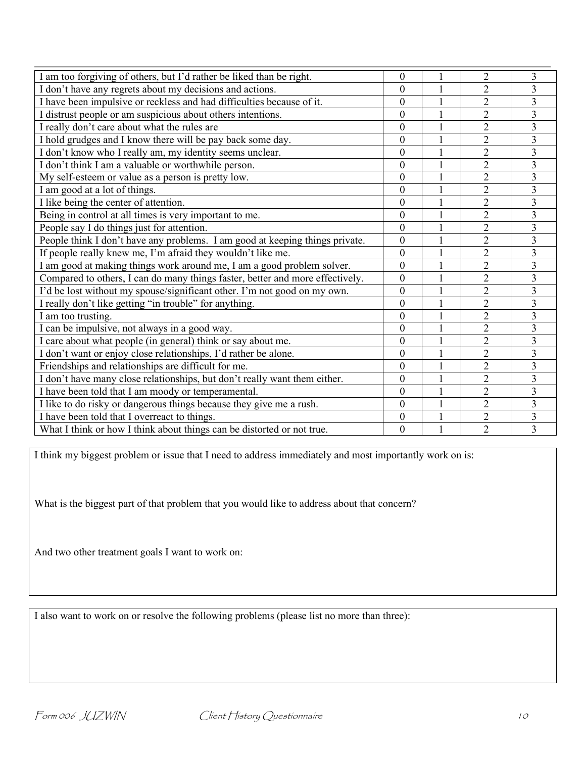| I am too forgiving of others, but I'd rather be liked than be right.          | $\boldsymbol{0}$ |              | $\overline{2}$ | 3                       |
|-------------------------------------------------------------------------------|------------------|--------------|----------------|-------------------------|
| I don't have any regrets about my decisions and actions.                      | $\boldsymbol{0}$ | $\mathbf{1}$ | $\overline{2}$ | $\overline{3}$          |
| I have been impulsive or reckless and had difficulties because of it.         | $\overline{0}$   |              | $\overline{2}$ | 3                       |
| I distrust people or am suspicious about others intentions.                   | $\overline{0}$   | $\mathbf{1}$ | $\overline{2}$ | $\overline{3}$          |
| I really don't care about what the rules are                                  | $\overline{0}$   |              | $\overline{2}$ | $\overline{\mathbf{3}}$ |
| I hold grudges and I know there will be pay back some day.                    | $\overline{0}$   | $\mathbf{1}$ | $\overline{2}$ | $\overline{3}$          |
| I don't know who I really am, my identity seems unclear.                      | $\overline{0}$   |              | $\overline{2}$ | $\overline{3}$          |
| I don't think I am a valuable or worthwhile person.                           | $\overline{0}$   |              | $\overline{2}$ | $\overline{3}$          |
| My self-esteem or value as a person is pretty low.                            | $\boldsymbol{0}$ |              | $\overline{c}$ | $\overline{\mathbf{3}}$ |
| I am good at a lot of things.                                                 | $\overline{0}$   | $\mathbf{1}$ | $\overline{2}$ | $\overline{3}$          |
| I like being the center of attention.                                         | $\boldsymbol{0}$ |              | $\overline{2}$ | $\overline{3}$          |
| Being in control at all times is very important to me.                        | $\boldsymbol{0}$ |              | $\overline{c}$ | $\overline{3}$          |
| People say I do things just for attention.                                    | $\boldsymbol{0}$ |              | $\overline{2}$ | $\overline{\mathbf{3}}$ |
| People think I don't have any problems. I am good at keeping things private.  | $\overline{0}$   |              | $\overline{2}$ | $\overline{3}$          |
| If people really knew me, I'm afraid they wouldn't like me.                   | $\overline{0}$   | $\mathbf{1}$ | $\overline{2}$ | $\overline{3}$          |
| I am good at making things work around me, I am a good problem solver.        | $\boldsymbol{0}$ |              | $\overline{c}$ | 3                       |
| Compared to others, I can do many things faster, better and more effectively. | $\overline{0}$   | 1            | $\overline{2}$ | $\overline{3}$          |
| I'd be lost without my spouse/significant other. I'm not good on my own.      | $\overline{0}$   |              | $\overline{2}$ | 3                       |
| I really don't like getting "in trouble" for anything.                        | $\overline{0}$   | $\mathbf{1}$ | $\overline{c}$ | $\overline{3}$          |
| I am too trusting.                                                            | $\overline{0}$   |              | $\overline{2}$ | $\overline{\mathbf{3}}$ |
| I can be impulsive, not always in a good way.                                 | $\theta$         |              | $\overline{2}$ | $\overline{3}$          |
| I care about what people (in general) think or say about me.                  | $\boldsymbol{0}$ |              | $\overline{2}$ | $\overline{3}$          |
| I don't want or enjoy close relationships, I'd rather be alone.               | $\overline{0}$   | $\mathbf{1}$ | $\overline{2}$ | $\overline{3}$          |
| Friendships and relationships are difficult for me.                           | $\boldsymbol{0}$ |              | $\overline{2}$ | $\overline{3}$          |
| I don't have many close relationships, but don't really want them either.     | $\overline{0}$   |              | $\overline{2}$ | $\overline{3}$          |
| I have been told that I am moody or temperamental.                            | $\overline{0}$   |              | $\overline{2}$ | $\overline{3}$          |
| I like to do risky or dangerous things because they give me a rush.           | $\boldsymbol{0}$ |              | $\overline{c}$ | 3                       |
| I have been told that I overreact to things.                                  | $\boldsymbol{0}$ |              | $\overline{2}$ | $\overline{3}$          |
| What I think or how I think about things can be distorted or not true.        | $\overline{0}$   |              | $\overline{2}$ | $\overline{3}$          |

I think my biggest problem or issue that I need to address immediately and most importantly work on is:

What is the biggest part of that problem that you would like to address about that concern?

And two other treatment goals I want to work on:

I also want to work on or resolve the following problems (please list no more than three):